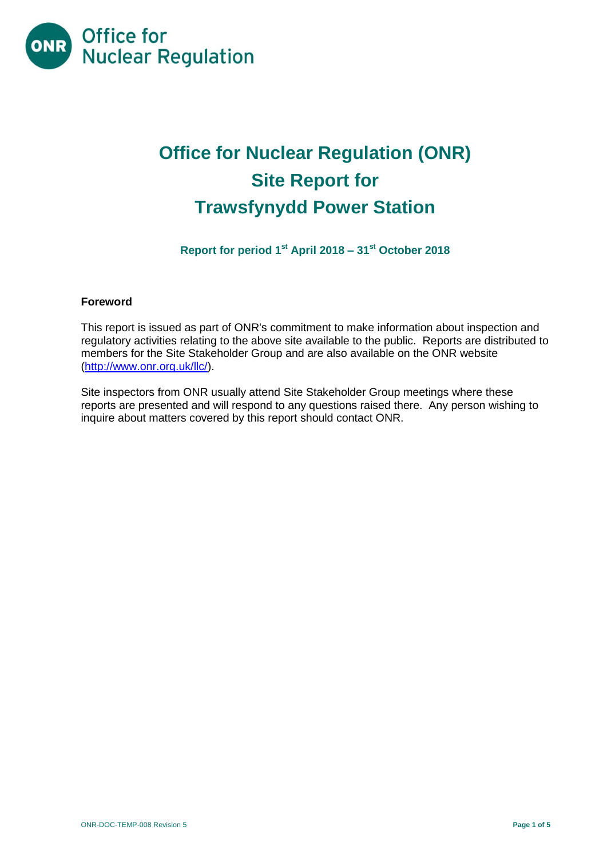

# **Office for Nuclear Regulation (ONR) Site Report for Trawsfynydd Power Station**

**Report for period 1 st April 2018 – 31 st October 2018**

### **Foreword**

This report is issued as part of ONR's commitment to make information about inspection and regulatory activities relating to the above site available to the public. Reports are distributed to members for the Site Stakeholder Group and are also available on the ONR website [\(http://www.onr.org.uk/llc/\)](http://www.onr.org.uk/llc/).

Site inspectors from ONR usually attend Site Stakeholder Group meetings where these reports are presented and will respond to any questions raised there. Any person wishing to inquire about matters covered by this report should contact ONR.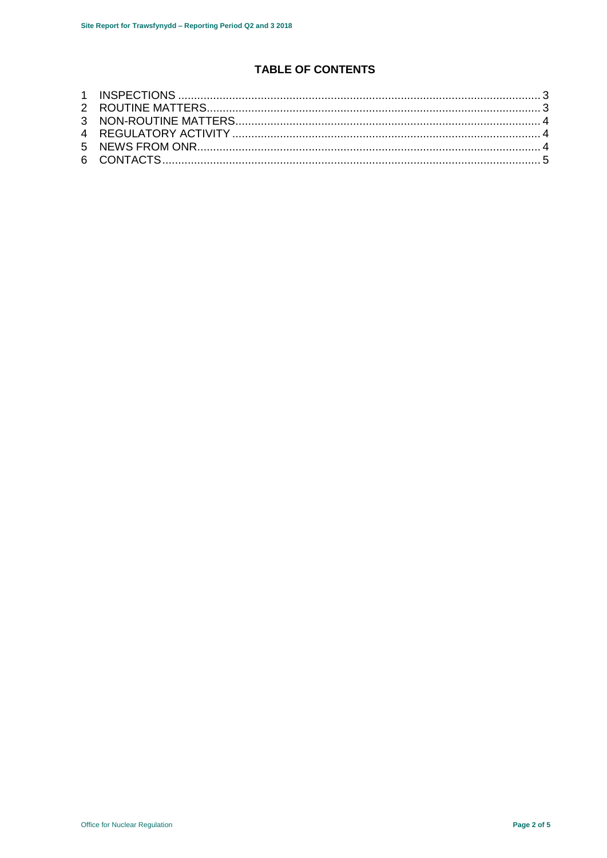# **TABLE OF CONTENTS**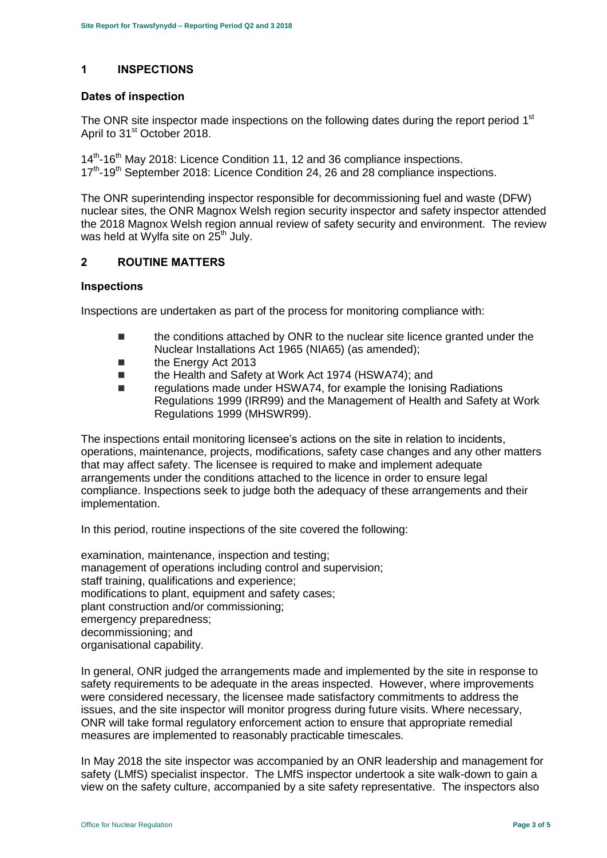# <span id="page-2-0"></span>**1 INSPECTIONS**

#### **Dates of inspection**

The ONR site inspector made inspections on the following dates during the report period 1<sup>st</sup> April to 31<sup>st</sup> October 2018.

14<sup>th</sup>-16<sup>th</sup> May 2018: Licence Condition 11, 12 and 36 compliance inspections. 17<sup>th</sup>-19<sup>th</sup> September 2018: Licence Condition 24, 26 and 28 compliance inspections.

The ONR superintending inspector responsible for decommissioning fuel and waste (DFW) nuclear sites, the ONR Magnox Welsh region security inspector and safety inspector attended the 2018 Magnox Welsh region annual review of safety security and environment. The review was held at Wylfa site on 25<sup>th</sup> July.

# <span id="page-2-1"></span>**2 ROUTINE MATTERS**

#### **Inspections**

Inspections are undertaken as part of the process for monitoring compliance with:

- **the conditions attached by ONR to the nuclear site licence granted under the** Nuclear Installations Act 1965 (NIA65) (as amended);
- the Energy Act 2013
- the Health and Safety at Work Act 1974 (HSWA74): and
- regulations made under HSWA74, for example the Ionising Radiations Regulations 1999 (IRR99) and the Management of Health and Safety at Work Regulations 1999 (MHSWR99).

The inspections entail monitoring licensee's actions on the site in relation to incidents, operations, maintenance, projects, modifications, safety case changes and any other matters that may affect safety. The licensee is required to make and implement adequate arrangements under the conditions attached to the licence in order to ensure legal compliance. Inspections seek to judge both the adequacy of these arrangements and their implementation.

In this period, routine inspections of the site covered the following:

examination, maintenance, inspection and testing; management of operations including control and supervision; staff training, qualifications and experience; modifications to plant, equipment and safety cases; plant construction and/or commissioning; emergency preparedness; decommissioning; and organisational capability.

In general, ONR judged the arrangements made and implemented by the site in response to safety requirements to be adequate in the areas inspected. However, where improvements were considered necessary, the licensee made satisfactory commitments to address the issues, and the site inspector will monitor progress during future visits. Where necessary, ONR will take formal regulatory enforcement action to ensure that appropriate remedial measures are implemented to reasonably practicable timescales.

In May 2018 the site inspector was accompanied by an ONR leadership and management for safety (LMfS) specialist inspector. The LMfS inspector undertook a site walk-down to gain a view on the safety culture, accompanied by a site safety representative. The inspectors also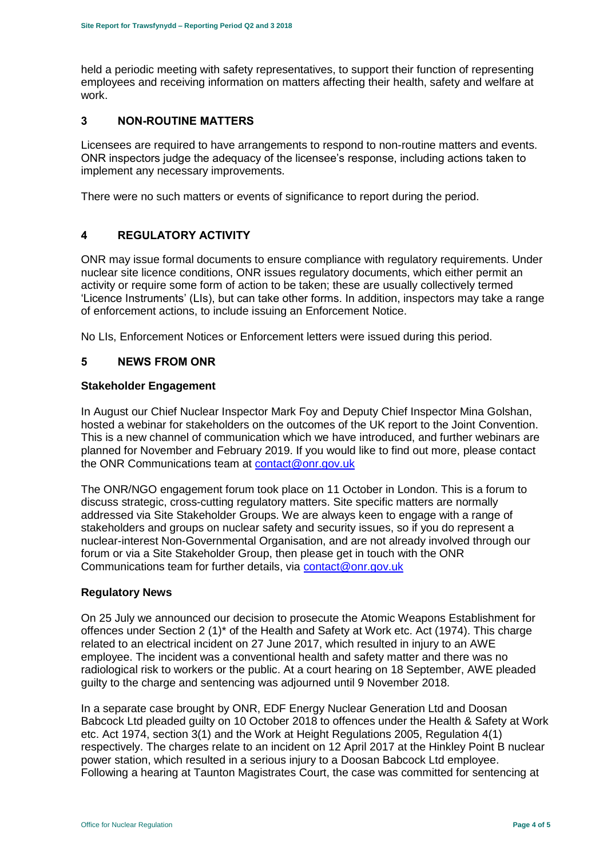held a periodic meeting with safety representatives, to support their function of representing employees and receiving information on matters affecting their health, safety and welfare at work.

## <span id="page-3-0"></span>**3 NON-ROUTINE MATTERS**

Licensees are required to have arrangements to respond to non-routine matters and events. ONR inspectors judge the adequacy of the licensee's response, including actions taken to implement any necessary improvements.

There were no such matters or events of significance to report during the period.

### <span id="page-3-1"></span>**4 REGULATORY ACTIVITY**

ONR may issue formal documents to ensure compliance with regulatory requirements. Under nuclear site licence conditions, ONR issues regulatory documents, which either permit an activity or require some form of action to be taken; these are usually collectively termed 'Licence Instruments' (LIs), but can take other forms. In addition, inspectors may take a range of enforcement actions, to include issuing an Enforcement Notice.

No LIs, Enforcement Notices or Enforcement letters were issued during this period.

#### <span id="page-3-2"></span>**5 NEWS FROM ONR**

#### **Stakeholder Engagement**

In August our Chief Nuclear Inspector Mark Foy and Deputy Chief Inspector Mina Golshan, hosted a webinar for stakeholders on the outcomes of the UK report to the Joint Convention. This is a new channel of communication which we have introduced, and further webinars are planned for November and February 2019. If you would like to find out more, please contact the ONR Communications team at contact@onr.gov.uk

The ONR/NGO engagement forum took place on 11 October in London. This is a forum to discuss strategic, cross-cutting regulatory matters. Site specific matters are normally addressed via Site Stakeholder Groups. We are always keen to engage with a range of stakeholders and groups on nuclear safety and security issues, so if you do represent a nuclear-interest Non-Governmental Organisation, and are not already involved through our forum or via a Site Stakeholder Group, then please get in touch with the ONR Communications team for further details, via contact@onr.gov.uk

#### **Regulatory News**

On 25 July we announced our decision to prosecute the Atomic Weapons Establishment for offences under Section 2 (1)\* of the Health and Safety at Work etc. Act (1974). This charge related to an electrical incident on 27 June 2017, which resulted in injury to an AWE employee. The incident was a conventional health and safety matter and there was no radiological risk to workers or the public. At a court hearing on 18 September, AWE pleaded guilty to the charge and sentencing was adjourned until 9 November 2018.

In a separate case brought by ONR, EDF Energy Nuclear Generation Ltd and Doosan Babcock Ltd pleaded guilty on 10 October 2018 to offences under the Health & Safety at Work etc. Act 1974, section 3(1) and the Work at Height Regulations 2005, Regulation 4(1) respectively. The charges relate to an incident on 12 April 2017 at the Hinkley Point B nuclear power station, which resulted in a serious injury to a Doosan Babcock Ltd employee. Following a hearing at Taunton Magistrates Court, the case was committed for sentencing at